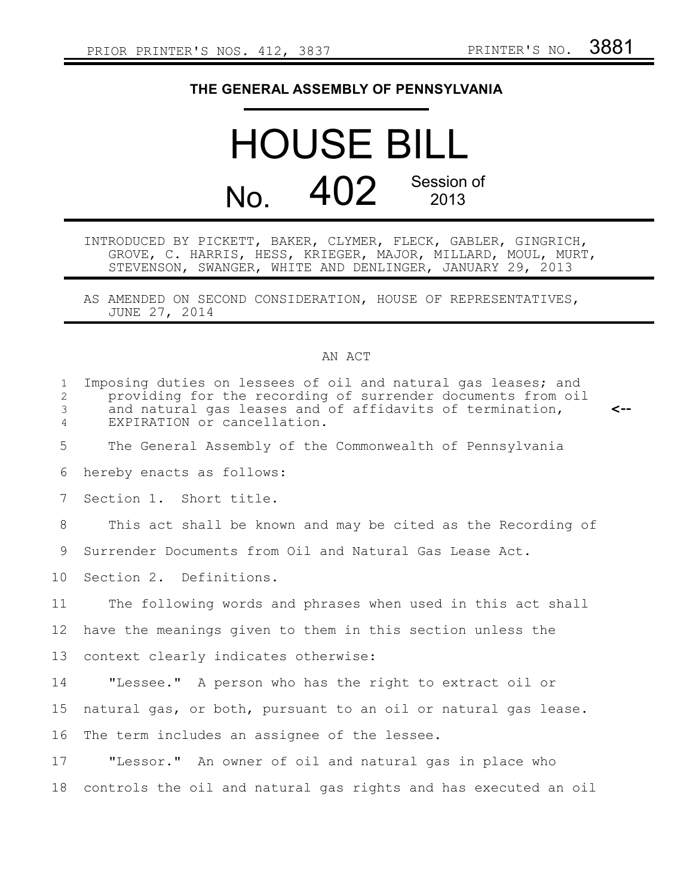## **THE GENERAL ASSEMBLY OF PENNSYLVANIA**

## HOUSE BILL No.  $402$  Session of

INTRODUCED BY PICKETT, BAKER, CLYMER, FLECK, GABLER, GINGRICH, GROVE, C. HARRIS, HESS, KRIEGER, MAJOR, MILLARD, MOUL, MURT, STEVENSON, SWANGER, WHITE AND DENLINGER, JANUARY 29, 2013

AS AMENDED ON SECOND CONSIDERATION, HOUSE OF REPRESENTATIVES, JUNE 27, 2014

## AN ACT

| $\mathbf{1}$<br>$\overline{2}$<br>3<br>$\overline{4}$ | Imposing duties on lessees of oil and natural gas leases; and<br>providing for the recording of surrender documents from oil<br>and natural gas leases and of affidavits of termination,<br><--<br>EXPIRATION or cancellation. |
|-------------------------------------------------------|--------------------------------------------------------------------------------------------------------------------------------------------------------------------------------------------------------------------------------|
| 5                                                     | The General Assembly of the Commonwealth of Pennsylvania                                                                                                                                                                       |
| 6                                                     | hereby enacts as follows:                                                                                                                                                                                                      |
| 7                                                     | Section 1. Short title.                                                                                                                                                                                                        |
| 8                                                     | This act shall be known and may be cited as the Recording of                                                                                                                                                                   |
| 9                                                     | Surrender Documents from Oil and Natural Gas Lease Act.                                                                                                                                                                        |
| 10                                                    | Section 2. Definitions.                                                                                                                                                                                                        |
| 11                                                    | The following words and phrases when used in this act shall                                                                                                                                                                    |
| 12                                                    | have the meanings given to them in this section unless the                                                                                                                                                                     |
| 13                                                    | context clearly indicates otherwise:                                                                                                                                                                                           |
| 14                                                    | "Lessee." A person who has the right to extract oil or                                                                                                                                                                         |
| 15                                                    | natural gas, or both, pursuant to an oil or natural gas lease.                                                                                                                                                                 |
| 16                                                    | The term includes an assignee of the lessee.                                                                                                                                                                                   |
| 17                                                    | "Lessor." An owner of oil and natural gas in place who                                                                                                                                                                         |
| 18                                                    | controls the oil and natural gas rights and has executed an oil                                                                                                                                                                |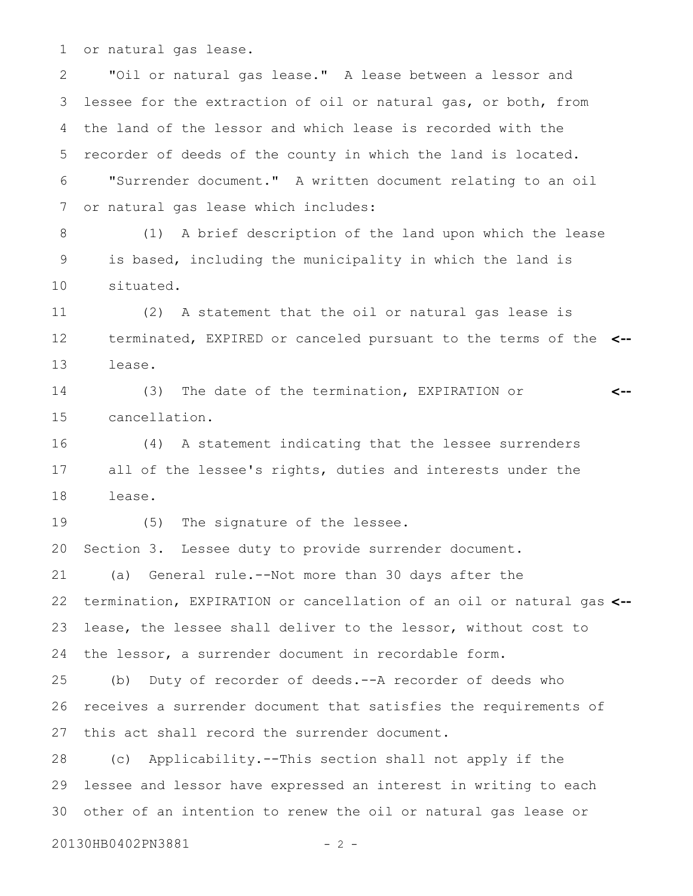or natural gas lease. 1

"Oil or natural gas lease." A lease between a lessor and lessee for the extraction of oil or natural gas, or both, from the land of the lessor and which lease is recorded with the recorder of deeds of the county in which the land is located. "Surrender document." A written document relating to an oil or natural gas lease which includes: 2 3 4 5 6 7

(1) A brief description of the land upon which the lease is based, including the municipality in which the land is situated. 8 9 10

(2) A statement that the oil or natural gas lease is terminated, EXPIRED or canceled pursuant to the terms of the **<-** lease. 11 12 13

(3) The date of the termination, EXPIRATION or cancellation. **<--** 14 15

(4) A statement indicating that the lessee surrenders all of the lessee's rights, duties and interests under the lease. 16 17 18

(5) The signature of the lessee. 19

Section 3. Lessee duty to provide surrender document. 20

(a) General rule.--Not more than 30 days after the termination, EXPIRATION or cancellation of an oil or natural gas **<-** lease, the lessee shall deliver to the lessor, without cost to the lessor, a surrender document in recordable form. 21 22 23 24

(b) Duty of recorder of deeds.--A recorder of deeds who receives a surrender document that satisfies the requirements of this act shall record the surrender document. 25 26 27

(c) Applicability.--This section shall not apply if the lessee and lessor have expressed an interest in writing to each 30 other of an intention to renew the oil or natural gas lease or 28 29

20130HB0402PN3881 - 2 -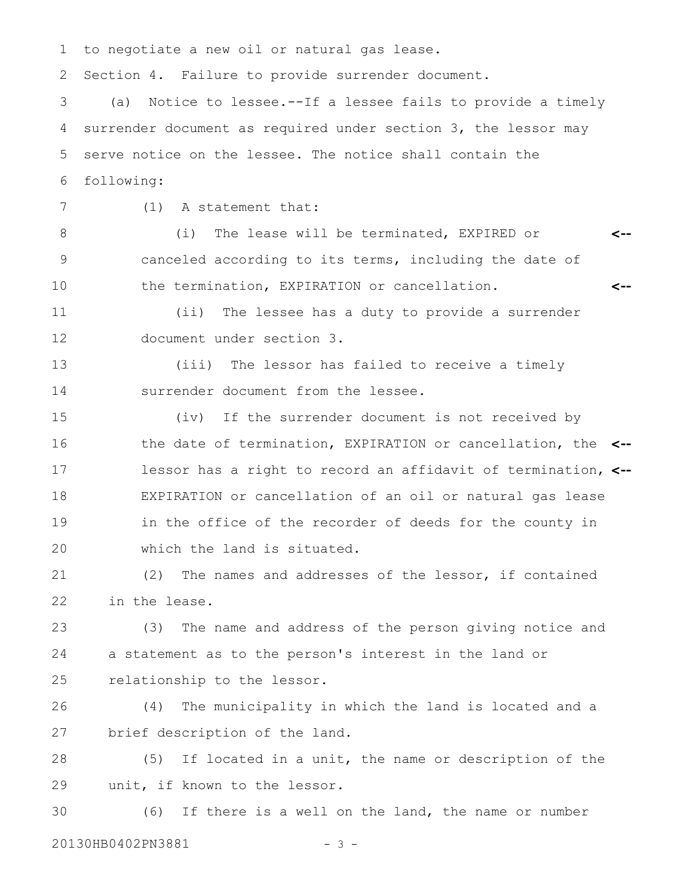to negotiate a new oil or natural gas lease. Section 4. Failure to provide surrender document. (a) Notice to lessee.--If a lessee fails to provide a timely surrender document as required under section 3, the lessor may serve notice on the lessee. The notice shall contain the following: (1) A statement that: (i) The lease will be terminated, EXPIRED or canceled according to its terms, including the date of the termination, EXPIRATION or cancellation. (ii) The lessee has a duty to provide a surrender document under section 3. (iii) The lessor has failed to receive a timely surrender document from the lessee. (iv) If the surrender document is not received by the date of termination, EXPIRATION or cancellation, the **<-** lessor has a right to record an affidavit of termination, **<--** EXPIRATION or cancellation of an oil or natural gas lease in the office of the recorder of deeds for the county in which the land is situated. (2) The names and addresses of the lessor, if contained in the lease. (3) The name and address of the person giving notice and a statement as to the person's interest in the land or relationship to the lessor. (4) The municipality in which the land is located and a brief description of the land. (5) If located in a unit, the name or description of the unit, if known to the lessor. **<-- <--** 1 2 3 4 5 6 7 8 9 10 11 12 13 14 15 16 17 18 19 20 21 22 23 24 25 26 27 28 29

(6) If there is a well on the land, the name or number 20130HB0402PN3881 - 3 -30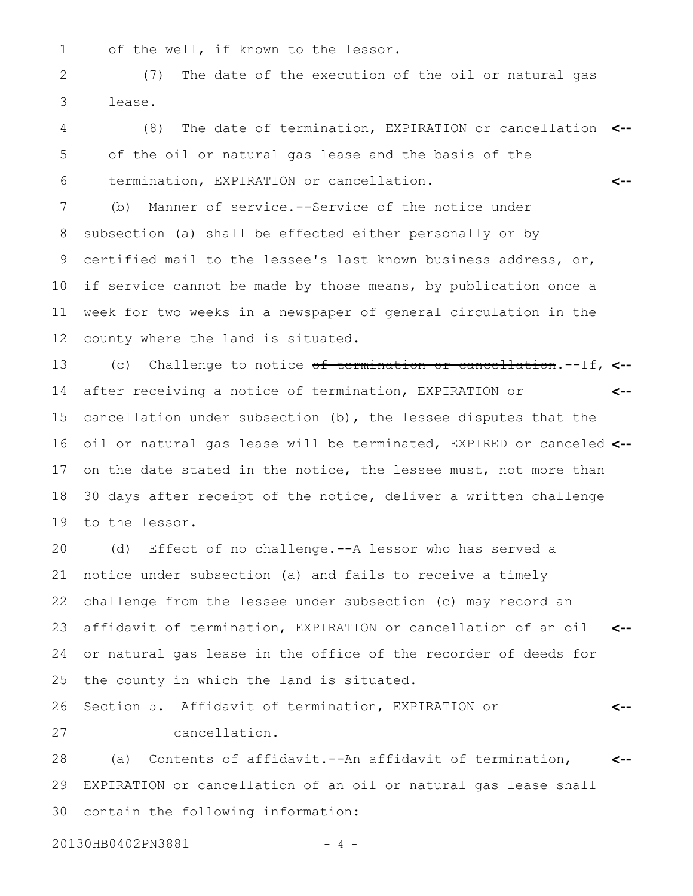1

of the well, if known to the lessor.

(7) The date of the execution of the oil or natural gas lease. 2 3

(8) The date of termination, EXPIRATION or cancellation **<-** of the oil or natural gas lease and the basis of the termination, EXPIRATION or cancellation. **<--** 4 5 6

(b) Manner of service.--Service of the notice under subsection (a) shall be effected either personally or by certified mail to the lessee's last known business address, or, if service cannot be made by those means, by publication once a week for two weeks in a newspaper of general circulation in the county where the land is situated. 7 8 9 10 11 12

(c) Challenge to notice of termination or cancellation.--If, **<-** after receiving a notice of termination, EXPIRATION or cancellation under subsection (b), the lessee disputes that the oil or natural gas lease will be terminated, EXPIRED or canceled **<-** on the date stated in the notice, the lessee must, not more than 30 days after receipt of the notice, deliver a written challenge to the lessor. **<--** 13 14 15 16 17 18 19

(d) Effect of no challenge.--A lessor who has served a notice under subsection (a) and fails to receive a timely challenge from the lessee under subsection (c) may record an affidavit of termination, EXPIRATION or cancellation of an oil **<-** or natural gas lease in the office of the recorder of deeds for the county in which the land is situated. 20 21 22 23 24 25

Section 5. Affidavit of termination, EXPIRATION or cancellation. **<--** 26 27

(a) Contents of affidavit.--An affidavit of termination, EXPIRATION or cancellation of an oil or natural gas lease shall contain the following information: **<--** 28 29 30

20130HB0402PN3881 - 4 -